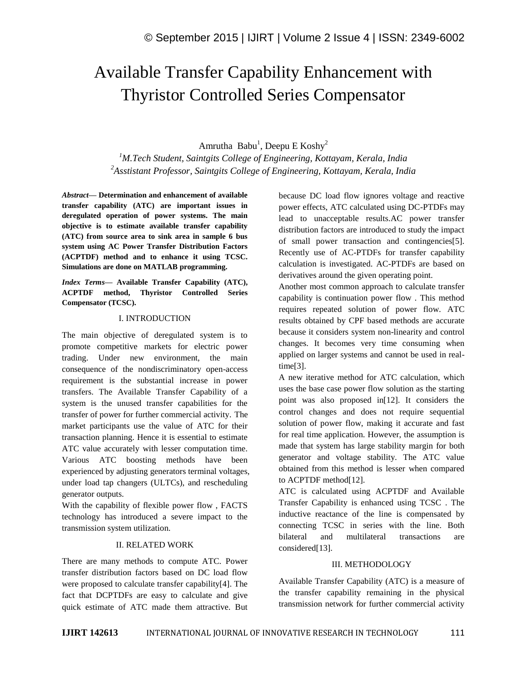# Available Transfer Capability Enhancement with Thyristor Controlled Series Compensator

Amrutha Babu<sup>1</sup>, Deepu E Koshy<sup>2</sup>

*<sup>1</sup>M.Tech Student, Saintgits College of Engineering, Kottayam, Kerala, India <sup>2</sup>Asstistant Professor, Saintgits College of Engineering, Kottayam, Kerala, India*

*Abstract—* **Determination and enhancement of available transfer capability (ATC) are important issues in deregulated operation of power systems. The main objective is to estimate available transfer capability (ATC) from source area to sink area in sample 6 bus system using AC Power Transfer Distribution Factors (ACPTDF) method and to enhance it using TCSC. Simulations are done on MATLAB programming.**

*Index Terms—* **Available Transfer Capability (ATC), ACPTDF method, Thyristor Controlled Series Compensator (TCSC).**

## I. INTRODUCTION

The main objective of deregulated system is to promote competitive markets for electric power trading. Under new environment, the main consequence of the nondiscriminatory open-access requirement is the substantial increase in power transfers. The Available Transfer Capability of a system is the unused transfer capabilities for the transfer of power for further commercial activity. The market participants use the value of ATC for their transaction planning. Hence it is essential to estimate ATC value accurately with lesser computation time. Various ATC boosting methods have been experienced by adjusting generators terminal voltages, under load tap changers (ULTCs), and rescheduling generator outputs.

With the capability of flexible power flow , FACTS technology has introduced a severe impact to the transmission system utilization.

# II. RELATED WORK

There are many methods to compute ATC. Power transfer distribution factors based on DC load flow were proposed to calculate transfer capability[4]. The fact that DCPTDFs are easy to calculate and give quick estimate of ATC made them attractive. But because DC load flow ignores voltage and reactive power effects, ATC calculated using DC-PTDFs may lead to unacceptable results.AC power transfer distribution factors are introduced to study the impact of small power transaction and contingencies[5]. Recently use of AC-PTDFs for transfer capability calculation is investigated. AC-PTDFs are based on derivatives around the given operating point.

Another most common approach to calculate transfer capability is continuation power flow . This method requires repeated solution of power flow. ATC results obtained by CPF based methods are accurate because it considers system non-linearity and control changes. It becomes very time consuming when applied on larger systems and cannot be used in realtime[3].

A new iterative method for ATC calculation, which uses the base case power flow solution as the starting point was also proposed in[12]. It considers the control changes and does not require sequential solution of power flow, making it accurate and fast for real time application. However, the assumption is made that system has large stability margin for both generator and voltage stability. The ATC value obtained from this method is lesser when compared to ACPTDF method[12].

ATC is calculated using ACPTDF and Available Transfer Capability is enhanced using TCSC . The inductive reactance of the line is compensated by connecting TCSC in series with the line. Both bilateral and multilateral transactions are considered[13].

# III. METHODOLOGY

Available Transfer Capability (ATC) is a measure of the transfer capability remaining in the physical transmission network for further commercial activity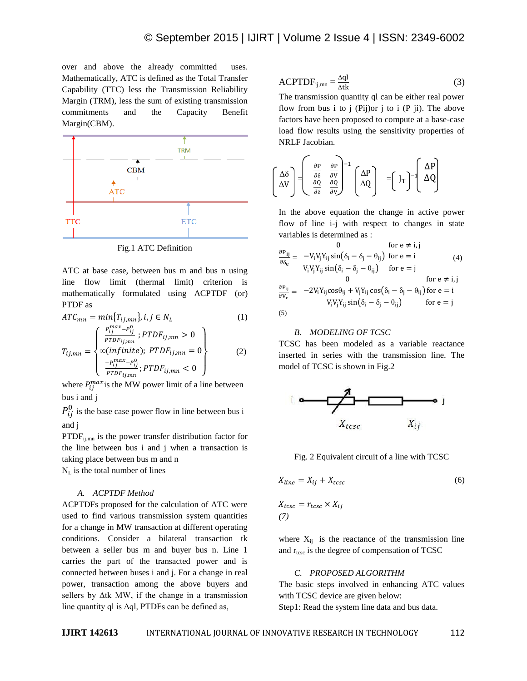over and above the already committed uses. Mathematically, ATC is defined as the Total Transfer Capability (TTC) less the Transmission Reliability Margin (TRM), less the sum of existing transmission commitments and the Capacity Benefit Margin(CBM).



Fig.1 ATC Definition

ATC at base case, between bus m and bus n using line flow limit (thermal limit) criterion is mathematically formulated using ACPTDF (or) PTDF as

$$
ATC_{mn} = min\{T_{ij,mn}\}, i, j \in N_L
$$
\n
$$
T_{ij,mn} = \begin{cases} \frac{P_{ij}^{max} - P_{ij}^0}{PTDF_{ij,mn}}; PTDF_{ij,mn} > 0\\ \infty (infinite); PTDF_{ij,mn} = 0\\ -e^{max} - e^{0}. \end{cases}
$$
\n
$$
(1)
$$

$$
\left\{\frac{-P_{ij}^{max} - P_{ij}^0}{PTDF_{ij,mn}}; PTDF_{ij,mn} < 0\right\}
$$

where  $P_{ii}^{max}$  is the MW power limit of a line between bus i and j

 $P_{ij}^0$  is the base case power flow in line between bus i and j

 $PTDF_{ii,mn}$  is the power transfer distribution factor for the line between bus i and j when a transaction is taking place between bus m and n

 $N_L$  is the total number of lines

## *A. ACPTDF Method*

ACPTDFs proposed for the calculation of ATC were used to find various transmission system quantities for a change in MW transaction at different operating conditions. Consider a bilateral transaction tk between a seller bus m and buyer bus n. Line 1 carries the part of the transacted power and is connected between buses i and j. For a change in real power, transaction among the above buyers and sellers by Δtk MW, if the change in a transmission line quantity ql is  $\Delta q$ l, PTDFs can be defined as,

$$
ACPTDF_{ij,mn} = \frac{\Delta q l}{\Delta t k}
$$
 (3)

The transmission quantity ql can be either real power flow from bus i to j  $(Pij)$ or j to i  $(Pji)$ . The above factors have been proposed to compute at a base-case load flow results using the sensitivity properties of NRLF Jacobian.

$$
\begin{bmatrix}\n\Delta \delta \\
\Delta V\n\end{bmatrix} = \begin{bmatrix}\n\frac{\partial P}{\partial \delta} & \frac{\partial P}{\partial V} \\
\frac{\partial Q}{\partial \delta} & \frac{\partial Q}{\partial V}\n\end{bmatrix}^{-1} \begin{bmatrix}\n\Delta P \\
\Delta Q\n\end{bmatrix} = \begin{bmatrix}\nJ_T\n\end{bmatrix}^{-1} \begin{bmatrix}\n\Delta P \\
\Delta Q\n\end{bmatrix}
$$

In the above equation the change in active power flow of line i-j with respect to changes in state variables is determined as :

$$
\frac{\partial P_{ij}}{\partial \delta_e} = -V_i V_j Y_{ij} \sin(\delta_i - \delta_j - \theta_{ij}) \text{ for } e = i \tag{4}
$$
\n
$$
V_i V_j Y_{ij} \sin(\delta_i - \delta_j - \theta_{ij}) \text{ for } e = j \text{ for } e \neq i, j
$$
\n
$$
\frac{\partial P_{ij}}{\partial V_e} = -2V_i Y_{ij} \cos\theta_{ij} + V_j Y_{ij} \cos(\delta_i - \delta_j - \theta_{ij}) \text{ for } e = i
$$
\n
$$
V_i V_j Y_{ij} \sin(\delta_i - \delta_j - \theta_{ij}) \text{ for } e = j
$$
\n(5)

#### *B. MODELING OF TCSC*

TCSC has been modeled as a variable reactance inserted in series with the transmission line. The model of TCSC is shown in Fig.2



Fig. 2 Equivalent circuit of a line with TCSC

$$
X_{line} = X_{ij} + X_{t c s c} \tag{6}
$$

$$
X_{t c s c} = r_{t c s c} \times X_{i j}
$$
  
(7)

where  $X_{ij}$  is the reactance of the transmission line and  $r_{\text{tesc}}$  is the degree of compensation of TCSC

## *C. PROPOSED ALGORITHM*

The basic steps involved in enhancing ATC values with TCSC device are given below: Step1: Read the system line data and bus data.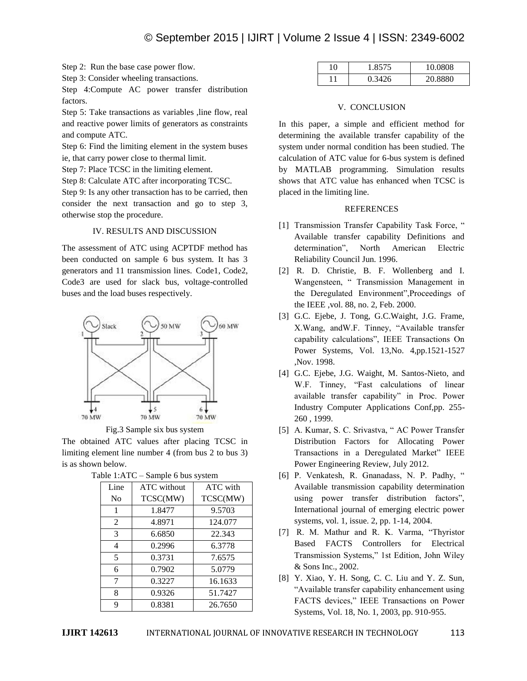Step 2: Run the base case power flow.

Step 3: Consider wheeling transactions.

Step 4:Compute AC power transfer distribution factors.

Step 5: Take transactions as variables ,line flow, real and reactive power limits of generators as constraints and compute ATC.

Step 6: Find the limiting element in the system buses ie, that carry power close to thermal limit.

Step 7: Place TCSC in the limiting element.

Step 8: Calculate ATC after incorporating TCSC.

Step 9: Is any other transaction has to be carried, then consider the next transaction and go to step 3, otherwise stop the procedure.

#### IV. RESULTS AND DISCUSSION

The assessment of ATC using ACPTDF method has been conducted on sample 6 bus system. It has 3 generators and 11 transmission lines. Code1, Code2, Code3 are used for slack bus, voltage-controlled buses and the load buses respectively.



Fig.3 Sample six bus system

The obtained ATC values after placing TCSC in limiting element line number 4 (from bus 2 to bus 3) is as shown below.

| <br>$\mu$ or $\mu$ or $\mu$ or $\mu$ or $\mu$ or $\mu$ |                    |          |  |  |
|--------------------------------------------------------|--------------------|----------|--|--|
| Line                                                   | <b>ATC</b> without | ATC with |  |  |
| No                                                     | TCSC(MW)           | TCSC(MW) |  |  |
| 1                                                      | 1.8477             | 9.5703   |  |  |
| $\overline{2}$                                         | 4.8971             | 124.077  |  |  |
| 3                                                      | 6.6850             | 22.343   |  |  |
| 4                                                      | 0.2996             | 6.3778   |  |  |
| 5                                                      | 0.3731             | 7.6575   |  |  |
| 6                                                      | 0.7902             | 5.0779   |  |  |
| 7                                                      | 0.3227             | 16.1633  |  |  |
| 8                                                      | 0.9326             | 51.7427  |  |  |
| 9                                                      | 0.8381             | 26.7650  |  |  |
|                                                        |                    |          |  |  |

| Table 1:ATC – Sample 6 bus system |  |  |
|-----------------------------------|--|--|
|                                   |  |  |

| $1 \cap$ | 1.8575 | 10.0808 |
|----------|--------|---------|
|          |        | 20.8880 |

#### V. CONCLUSION

In this paper, a simple and efficient method for determining the available transfer capability of the system under normal condition has been studied. The calculation of ATC value for 6-bus system is defined by MATLAB programming. Simulation results shows that ATC value has enhanced when TCSC is placed in the limiting line.

#### REFERENCES

- [1] Transmission Transfer Capability Task Force, " Available transfer capability Definitions and determination", North American Electric Reliability Council Jun. 1996.
- [2] R. D. Christie, B. F. Wollenberg and I. Wangensteen, " Transmission Management in the Deregulated Environment",Proceedings of the IEEE ,vol. 88, no. 2, Feb. 2000.
- [3] G.C. Ejebe, J. Tong, G.C.Waight, J.G. Frame, X.Wang, andW.F. Tinney, "Available transfer capability calculations", IEEE Transactions On Power Systems, Vol. 13,No. 4,pp.1521-1527 ,Nov. 1998.
- [4] G.C. Ejebe, J.G. Waight, M. Santos-Nieto, and W.F. Tinney, "Fast calculations of linear available transfer capability" in Proc. Power Industry Computer Applications Conf,pp. 255- 260 , 1999.
- [5] A. Kumar, S. C. Srivastva, " AC Power Transfer Distribution Factors for Allocating Power Transactions in a Deregulated Market" IEEE Power Engineering Review, July 2012.
- [6] P. Venkatesh, R. Gnanadass, N. P. Padhy, " Available transmission capability determination using power transfer distribution factors", International journal of emerging electric power systems, vol. 1, issue. 2, pp. 1-14, 2004.
- [7] R. M. Mathur and R. K. Varma, "Thyristor Based FACTS Controllers for Electrical Transmission Systems," 1st Edition, John Wiley & Sons Inc., 2002.
- [8] Y. Xiao, Y. H. Song, C. C. Liu and Y. Z. Sun, "Available transfer capability enhancement using FACTS devices," IEEE Transactions on Power Systems, Vol. 18, No. 1, 2003, pp. 910-955.